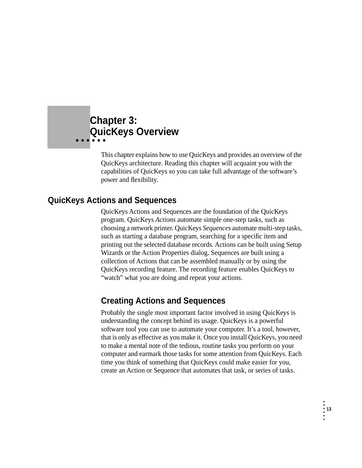## **Chapter 3: • • • • • • QuicKeys Overview**

This chapter explains how to use QuicKeys and provides an overview of the QuicKeys architecture. Reading this chapter will acquaint you with the capabilities of QuicKeys so you can take full advantage of the software's power and flexibility.

## **QuicKeys Actions and Sequences**

QuicKeys Actions and Sequences are the foundation of the QuicKeys program. QuicKeys *Actions* automate simple one-step tasks, such as choosing a network printer. QuicKeys *Sequences* automate multi-step tasks, such as starting a database program, searching for a specific item and printing out the selected database records. Actions can be built using Setup Wizards or the Action Properties dialog. Sequences are built using a collection of Actions that can be assembled manually or by using the QuicKeys recording feature. The recording feature enables QuicKeys to "watch" what you are doing and repeat your actions.

## **Creating Actions and Sequences**

Probably the single most important factor involved in using QuicKeys is understanding the concept behind its usage. QuicKeys is a powerful software tool you can use to automate your computer. It's a tool, however, that is only as effective as you make it. Once you install QuicKeys, you need to make a mental note of the tedious, routine tasks you perform on your computer and earmark those tasks for some attention from QuicKeys. Each time you think of something that QuicKeys could make easier for you, create an Action or Sequence that automates that task, or series of tasks.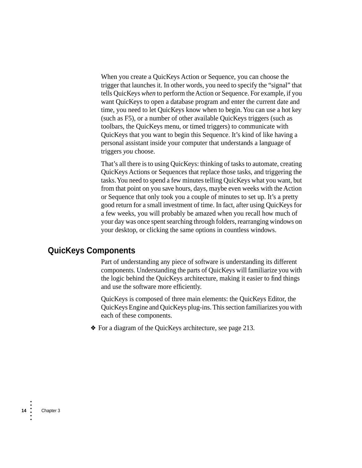When you create a QuicKeys Action or Sequence, you can choose the trigger that launches it. In other words, you need to specify the "signal" that tells QuicKeys *when* to perform the Action or Sequence. For example, if you want QuicKeys to open a database program and enter the current date and time, you need to let QuicKeys know when to begin. You can use a hot key (such as F5), or a number of other available QuicKeys triggers (such as toolbars, the QuicKeys menu, or timed triggers) to communicate with QuicKeys that you want to begin this Sequence. It's kind of like having a personal assistant inside your computer that understands a language of triggers *you* choose.

That's all there is to using QuicKeys: thinking of tasks to automate, creating QuicKeys Actions or Sequences that replace those tasks, and triggering the tasks. You need to spend a few minutes telling QuicKeys what you want, but from that point on you save hours, days, maybe even weeks with the Action or Sequence that only took you a couple of minutes to set up. It's a pretty good return for a small investment of time. In fact, after using QuicKeys for a few weeks, you will probably be amazed when you recall how much of your day was once spent searching through folders, rearranging windows on your desktop, or clicking the same options in countless windows.

### **QuicKeys Components**

Part of understanding any piece of software is understanding its different components. Understanding the parts of QuicKeys will familiarize you with the logic behind the QuicKeys architecture, making it easier to find things and use the software more efficiently.

QuicKeys is composed of three main elements: the QuicKeys Editor, the QuicKeys Engine and QuicKeys plug-ins. This section familiarizes you with each of these components.

❖ For a diagram of the QuicKeys architecture, see page 213.

•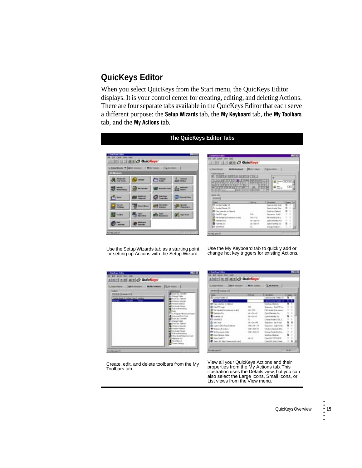## **QuicKeys Editor**

When you select QuicKeys from the Start menu, the QuicKeys Editor displays. It is your control center for creating, editing, and deleting Actions. There are four separate tabs available in the QuicKeys Editor that each serve a different purpose: the **Setup Wizards** tab, the **My Keyboard** tab, the **My Toolbars** tab, and the **My Actions** tab.

# **The QuicKeys Editor Tabs**



| <b>Kissboard Launa</b>                                   | <b>BE SAN TANGALO</b>            | G Milestown 11                                            |
|----------------------------------------------------------|----------------------------------|-----------------------------------------------------------|
|                                                          |                                  |                                                           |
|                                                          |                                  |                                                           |
| <b>FOL</b><br>343.6                                      |                                  | ٠                                                         |
| 31313<br>建氯异氰甘醇<br><b>MT</b><br>п                        |                                  |                                                           |
| <b>FALL AND ARTICLES</b>                                 | -                                |                                                           |
| 中国百科<br>--<br>last little City. Colonia.                 |                                  | <b>DE</b><br>-                                            |
| <b><i><u>Allen Ave.</u></i></b><br><b>District Count</b> |                                  |                                                           |
|                                                          |                                  |                                                           |
|                                                          |                                  |                                                           |
| price 1 de<br>44.41                                      |                                  |                                                           |
|                                                          | I like her                       | T must<br>Terminal                                        |
| Auction Cooks 10                                         |                                  | ٠<br>bendezha fila                                        |
| <b>L. Installation 11</b>                                |                                  | <b>Secretary Art Street</b>                               |
| <b>Cap of the Articles</b>                               |                                  | ۰<br>٠<br>Lating Calcul                                   |
| <b>Bi Lauf If Loss</b>                                   |                                  | ٠<br>٠<br>lasanni, Edif                                   |
| <b>If I'm investigations</b><br>49                       | 133.471                          | ٠<br>٠<br><b>Els Handis Civil A</b>                       |
|                                                          |                                  | ٠                                                         |
| <b>III</b> Unitidad Par<br>Training 30                   | $AB + DB + B$<br>$sin + 16i + 1$ | ×<br>Tam Fleisteam Fra<br>٠<br>'n<br>Daniel Germany, L.D. |

Use the Setup Wizards tab as a starting point for setting up Actions with the Setup Wizard.

Use the My Keyboard tab to quickly add or change hot key triggers for existing Actions.

| C SHARRAGE<br><b>THE REAL EDUCATION</b>                                                                                        | Light and cars 11                                                                                                                                                                                                                                                                                                                                                                             |
|--------------------------------------------------------------------------------------------------------------------------------|-----------------------------------------------------------------------------------------------------------------------------------------------------------------------------------------------------------------------------------------------------------------------------------------------------------------------------------------------------------------------------------------------|
| <b>HALL</b><br><b>SHANA   Suarray Off</b><br>Todo Nuke   Todo Tale   1424a<br>butter forces then<br>n ser<br><b>CONTRACTOR</b> | <b>ALL ALL AN</b><br><b>During Condo</b><br>Crange Folke<br>Guitari Issue<br><b>Mandase Cooked</b><br>Tot-stude-Tokiew<br>ial Da Romaniko<br>19 Main and Bach<br>Advenued Twir Tools<br>Guidan Deteke<br>Dunge Frake<br>Sartas libero<br>Wednes Special<br><b>Tarificate Fakers</b><br>al in Robert and<br><b>Now 16 at 97 release with and</b><br>Flank a Po-<br>Fundida 13<br>Lowe Earlings |

Create, edit, and delete toolbars from the My Toolbars tab.



View all your QuicKeys Actions and their properties from the My Actions tab. This illustration uses the Details view, but you can also select the Large Icons, Small Icons, or List views from the View menu.

•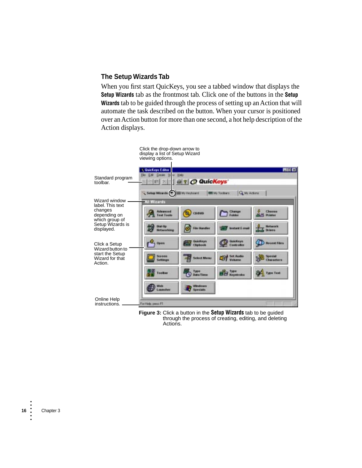### **The Setup Wizards Tab**

When you first start QuicKeys, you see a tabbed window that displays the **Setup Wizards** tab as the frontmost tab. Click one of the buttons in the **Setup Wizards** tab to be guided through the process of setting up an Action that will automate the task described on the button. When your cursor is positioned over an Action button for more than one second, a hot help description of the Action displays.



**Figure 3:** Click a button in the **Setup Wizards** tab to be guided through the process of creating, editing, and deleting Actions.

•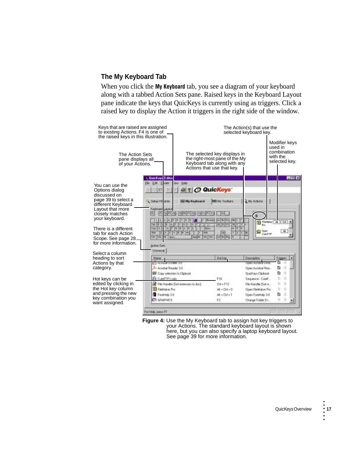### **The My Keyboard Tab**

When you click the **My Keyboard** tab, you see a diagram of your keyboard along with a tabbed Action Sets pane. Raised keys in the Keyboard Layout pane indicate the keys that QuicKeys is currently using as triggers. Click a raised key to display the Action it triggers in the right side of the window.



**Figure 4:** Use the My Keyboard tab to assign hot key triggers to your Actions. The standard keyboard layout is shown here, but you can also specify a laptop keyboard layout. See [page 39](#page-26-0) for more information.

•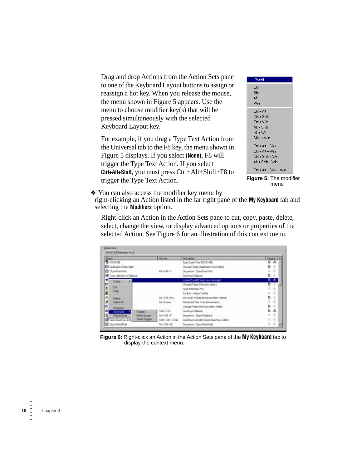Drag and drop Actions from the Action Sets pane to one of the Keyboard Layout buttons to assign or reassign a hot key. When you release the mouse, the menu shown in [Figure 5](#page-5-0) appears. Use the menu to choose modifier key(s) that will be pressed simultaneously with the selected Keyboard Layout key.

For example, if you drag a Type Text Action from the Universal tab to the F8 key, the menu shown in [Figure 5](#page-5-0) displays. If you select **(None)**, F8 will trigger the Type Text Action. If you select **Ctrl+Alt+Shift**, you must press Ctrl+Alt+Shift+F8 to trigger the Type Text Action.

| (None)                   |
|--------------------------|
| Ctrl                     |
| Shift                    |
| Alt                      |
| Win                      |
| Ctrl + Alt               |
| Ctrl + Shift             |
| Ctrl + Win               |
| Alt + Shift              |
| Alt + Win                |
| Shift + Win              |
| Ctrl + Alt + Shift       |
| ∩rl + Alt + Win          |
| Ctrl + Shift + Win       |
| Alt + Shift + Win        |
| Ctrl + Alt + Shift + Win |

<span id="page-5-0"></span>**Figure 5:** The modifier menu

❖ You can also access the modifier key menu by

right-clicking an Action listed in the far right pane of the **My Keyboard** tab and selecting the **Modifiers** option.

Right-click an Action in the Action Sets pane to cut, copy, paste, delete, select, change the view, or display advanced options or properties of the selected Action. See [Figure 6](#page-5-1) for an illustration of this context menu.

| <b>Hans</b>                          | Horkey               | Discognie                                    | Tilggen   A       |
|--------------------------------------|----------------------|----------------------------------------------|-------------------|
| <b>B</b> tora (M)                    |                      | Type Gate/Time [10/21/98]                    | n a               |
| Application Data Folder              |                      | Change Folder (Application Duka folder)      | ь<br>٠            |
| <b>B</b> Doe front lule              | AB + CH + T          | Sequence - Closs Front Win                   | ٠<br>ы            |
| <b>Ed Capy inhorizes to Clipbook</b> |                      | Guidiavi Clideok                             | g,<br>×           |
| m<br>Ceste                           |                      | Instant E-mol (Create now necoupe)           | ٠                 |
| Ŀ                                    |                      | Change Folder (Favorites folder)             | b n               |
| Dat<br>王朝の家<br>Copy                  |                      | Open Field skip Pro                          | 1a                |
| <b>All y</b>                         |                      | Toober - Happy Toolbar                       | <b>A</b>          |
| Dalatai                              | Alt + Chf + Up       | Set Audo Volume Bremore Main volume)         | в<br>÷            |
| Select All                           | Alt = Down           | [sastrowd Test Tosh Lowerses]                | h.<br>٠           |
| Properties                           |                      | Change Polder (Ny Decuments Ickfer)          | ٠<br>٠            |
| lα<br>Toyota's<br>Advanced           | $548 + 552$          | Guidiaya Ciptaok                             | b.<br>Δ           |
| a<br>Dear hot lies.<br>Action Scope  | AB + CM + P          | Sequence - Open Database                     | $\sim$<br>×       |
| Text Tages<br>Open Daidl ays Edit    | $Sish + Det + Evint$ | Quickleys Controller (Open Duickleys Edited) | ×<br>×            |
| <b>ES</b> Doon DateNikal             | AB + CM + G          | Sequence - Open Guid-High                    | n.<br>$\sim 10$ . |

<span id="page-5-1"></span>**Figure 6:** Right-click an Action in the Action Sets pane of the **My Keyboard** tab to display the context menu.

• •

• • •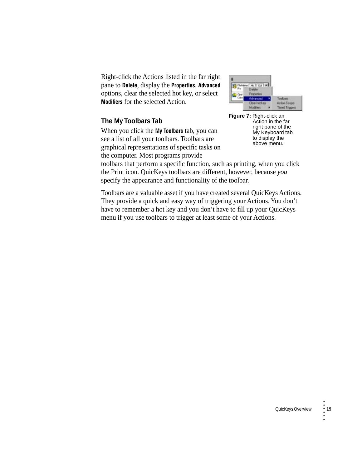Right-click the Actions listed in the far right pane to **Delete**, display the **Properties**, **Advanced** options, clear the selected hot key, or select **Modifiers** for the selected Action.

### **The My Toolbars Tab**

When you click the **My Toolbars** tab, you can see a list of all your toolbars. Toolbars are graphical representations of specific tasks on the computer. Most programs provide





toolbars that perform a specific function, such as printing, when you click the Print icon. QuicKeys toolbars are different, however, because *you* specify the appearance and functionality of the toolbar.

Toolbars are a valuable asset if you have created several QuicKeys Actions. They provide a quick and easy way of triggering your Actions. You don't have to remember a hot key and you don't have to fill up your QuicKeys menu if you use toolbars to trigger at least some of your Actions.

•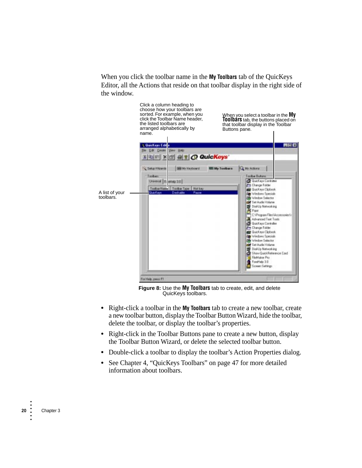When you click the toolbar name in the **My Toolbars** tab of the QuicKeys Editor, all the Actions that reside on that toolbar display in the right side of the window.



**Figure 8:** Use the **My Toolbars** tab to create, edit, and delete QuicKeys toolbars.

- **•** Right-click a toolbar in the **My Toolbars** tab to create a new toolbar, create a new toolbar button, display the Toolbar Button Wizard, hide the toolbar, delete the toolbar, or display the toolbar's properties.
- **•** Right-click in the Toolbar Buttons pane to create a new button, display the Toolbar Button Wizard, or delete the selected toolbar button.
- **•** Double-click a toolbar to display the toolbar's Action Properties dialog.
- **•** See Chapter 4, "QuicKeys Toolbars" on page 47 for more detailed information about toolbars.

• •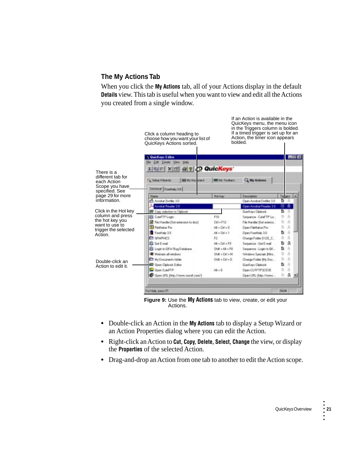### **The My Actions Tab**

When you click the **My Actions** tab, all of your Actions display in the default **Details** view. This tab is useful when you want to view and edit all the Actions you created from a single window.



**Figure 9:** Use the **My Actions** tab to view, create, or edit your Actions.

- **•** Double-click an Action in the **My Actions** tab to display a Setup Wizard or an Action Properties dialog where you can edit the Action.
- **•** Right-click an Action to **Cut**, **Copy**, **Delete**, **Select**, **Change** the view, or display the **Properties** of the selected Action.
- **•** Drag-and-drop an Action from one tab to another to edit the Action scope.

•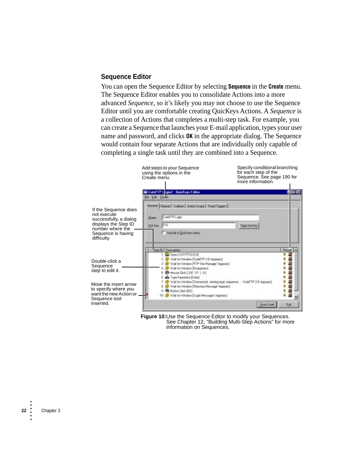### **Sequence Editor**

You can open the Sequence Editor by selecting **Sequence** in the **Create** menu. The Sequence Editor enables you to consolidate Actions into a more advanced *Sequence*, so it's likely you may not choose to use the Sequence Editor until you are comfortable creating QuicKeys Actions. A *Sequence* is a collection of Actions that completes a multi-step task. For example, you can create a Sequence that launches your E-mail application, types your user name and password, and clicks **OK** in the appropriate dialog. The Sequence would contain four separate Actions that are individually only capable of completing a single task until they are combined into a Sequence.



**Figure 10:**Use the Sequence Editor to modify your Sequences. See Chapter 12, "Building Multi-Step Actions" for more information on Sequences.

•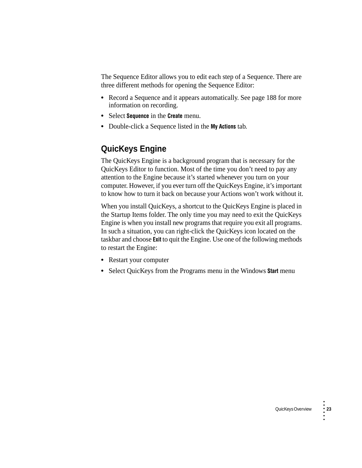The Sequence Editor allows you to edit each step of a Sequence. There are three different methods for opening the Sequence Editor:

- **•** Record a Sequence and it appears automatically. See page 188 for more information on recording.
- **•** Select **Sequence** in the **Create** menu.
- **•** Double-click a Sequence listed in the **My Actions** tab.

## **QuicKeys Engine**

The QuicKeys Engine is a background program that is necessary for the QuicKeys Editor to function. Most of the time you don't need to pay any attention to the Engine because it's started whenever you turn on your computer. However, if you ever turn off the QuicKeys Engine, it's important to know how to turn it back on because your Actions won't work without it.

When you install QuicKeys, a shortcut to the QuicKeys Engine is placed in the Startup Items folder. The only time you may need to exit the QuicKeys Engine is when you install new programs that require you exit all programs. In such a situation, you can right-click the QuicKeys icon located on the taskbar and choose **Exit** to quit the Engine. Use one of the following methods to restart the Engine:

- **•** Restart your computer
- **•** Select QuicKeys from the Programs menu in the Windows **Start** menu

•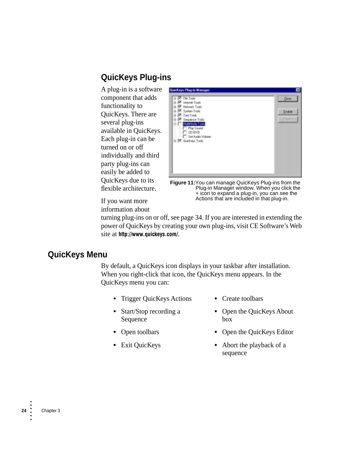## **QuicKeys Plug-ins**

A plug-in is a software component that adds functionality to QuicKeys. There are several plug-ins available in QuicKeys. Each plug-in can be turned on or off individually and third party plug-ins can easily be added to QuicKeys due to its flexible architecture.



**Figure 11:**You can manage QuicKeys Plug-ins from the Plug-in Manager window. When you click the + icon to expand a plug-in, you can see the Actions that are included in that plug-in.

If you want more information about

turning plug-ins on or off, see [page 34.](#page-21-0) If you are interested in extending the power of QuicKeys by creating your own plug-ins, visit CE Software's Web site at **http://www.quickeys.com/**.

## **QuicKeys Menu**

By default, a QuicKeys icon displays in your taskbar after installation. When you right-click that icon, the QuicKeys menu appears. In the QuicKeys menu you can:

- **•** Trigger QuicKeys Actions **•** Create toolbars
- **•** Start/Stop recording a Sequence
- 

sequence

- **•** Open the QuicKeys About box
- **•** Open toolbars **•** Open the QuicKeys Editor
	-
- **•** Exit QuicKeys **•** Abort the playback of a

• • • • • •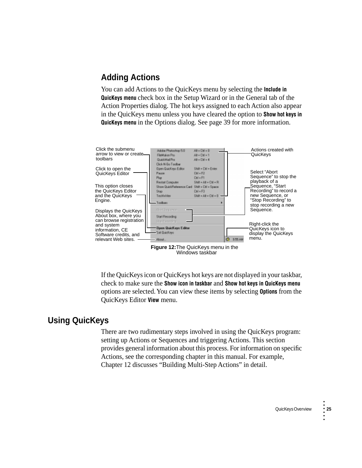## **Adding Actions**

You can add Actions to the QuicKeys menu by selecting the **Include in QuicKeys menu** check box in the Setup Wizard or in the General tab of the Action Properties dialog. The hot keys assigned to each Action also appear in the QuicKeys menu unless you have cleared the option to **Show hot keys in QuicKeys menu** in the Options dialog. See [page 39](#page-26-0) for more information.



**Figure 12:**The QuicKeys menu in the Windows taskbar

If the QuicKeys icon or QuicKeys hot keys are not displayed in your taskbar, check to make sure the **Show icon in taskbar** and **Show hot keys in QuicKeys menu** options are selected. You can view these items by selecting **Options** from the QuicKeys Editor **View** menu.

## **Using QuicKeys**

There are two rudimentary steps involved in using the QuicKeys program: setting up Actions or Sequences and triggering Actions. This section provides general information about this process. For information on specific Actions, see the corresponding chapter in this manual. For example, Chapter 12 discusses "Building Multi-Step Actions" in detail.

•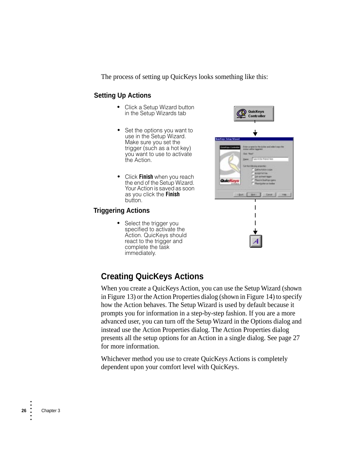The process of setting up QuicKeys looks something like this:

#### **Setting Up Actions**

- **•** Click a Setup Wizard button in the Setup Wizards tab
- **•** Set the options you want to use in the Setup Wizard. Make sure you set the trigger (such as a hot key) you want to use to activate the Action.
- **•** Click **Finish** when you reach the end of the Setup Wizard. Your Action is saved as soon as you click the **Finish** button.

### **Triggering Actions**

**•** Select the trigger you specified to activate the Action. QuicKeys should react to the trigger and complete the task immediately.



## **Creating QuicKeys Actions**

When you create a QuicKeys Action, you can use the Setup Wizard (shown in [Figure 13\)](#page-14-0) or the Action Properties dialog (shown in [Figure 14](#page-14-1)) to specify how the Action behaves. The Setup Wizard is used by default because it prompts you for information in a step-by-step fashion. If you are a more advanced user, you can turn off the Setup Wizard in the Options dialog and instead use the Action Properties dialog. The Action Properties dialog presents all the setup options for an Action in a single dialog. See [page 27](#page-14-2) for more information.

Whichever method you use to create QuicKeys Actions is completely dependent upon your comfort level with QuicKeys.

• •

• • •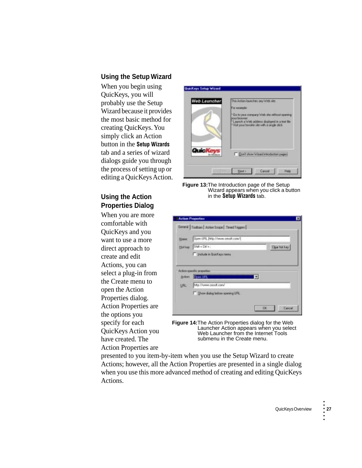### **Using the Setup Wizard**

When you begin using QuicKeys, you will probably use the Setup Wizard because it provides the most basic method for creating QuicKeys. You simply click an Action button in the **Setup Wizards** tab and a series of wizard dialogs guide you through the process of setting up or editing a QuicKeys Action.

### <span id="page-14-2"></span>**Using the Action Properties Dialog**

When you are more comfortable with QuicKeys and you want to use a more direct approach to create and edit Actions, you can select a plug-in from the Create menu to open the Action Properties dialog. Action Properties are the options you specify for each QuicKeys Action you have created. The Action Properties are



**Figure 13:**The Introduction page of the Setup Wizard appears when you click a button in the **Setup Wizards** tab.

<span id="page-14-0"></span>

| $ShB + Dh +$<br>×<br>Clear hot key<br>Holkey.<br>Products in Quick aye menu<br>Achor-specific properties |  |
|----------------------------------------------------------------------------------------------------------|--|
|                                                                                                          |  |
|                                                                                                          |  |
| н<br>Does UFL<br>Action:                                                                                 |  |
| Hig //www.cesoft.com/<br>URL -                                                                           |  |

<span id="page-14-1"></span>**Figure 14:**The Action Properties dialog for the Web Launcher Action appears when you select Web Launcher from the Internet Tools submenu in the Create menu.

presented to you item-by-item when you use the Setup Wizard to create Actions; however, all the Action Properties are presented in a single dialog when you use this more advanced method of creating and editing QuicKeys Actions.

•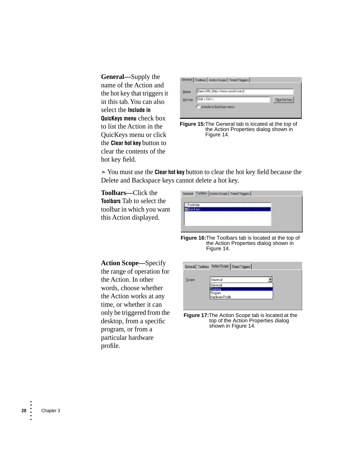**General—**Supply the name of the Action and the hot key that triggers it in this tab. You can also select the **Include in QuicKeys menu** check box to list the Action in the QuicKeys menu or click the **Clear hot key** button to clear the contents of the hot key field.



**Figure 15:**The General tab is located at the top of the Action Properties dialog shown in [Figure 14.](#page-14-1)

➣You must use the **Clear hot key** button to clear the hot key field because the Delete and Backspace keys cannot delete a hot key.

**Toolbars—**Click the **Toolbars** Tab to select the toolbar in which you want this Action displayed.

**Figure 16:**The Toolbars tab is located at the top of the Action Properties dialog shown in [Figure 14.](#page-14-1)

|        | General   Toolbars   Action Scope   Timed Triggers |
|--------|----------------------------------------------------|
|        |                                                    |
| Scope: | Universal                                          |
|        | Universal                                          |
|        | Desktop                                            |
|        | Program                                            |
|        | Hardware Profile                                   |
|        |                                                    |
|        |                                                    |

**Figure 17:**The Action Scope tab is located at the top of the Action Properties dialog shown in [Figure 14.](#page-14-1)

<span id="page-15-0"></span>**Action Scope—**Specify the range of operation for the Action. In other words, choose whether the Action works at any time, or whether it can only be triggered from the desktop, from a specific program, or from a particular hardware profile.

• • • • • •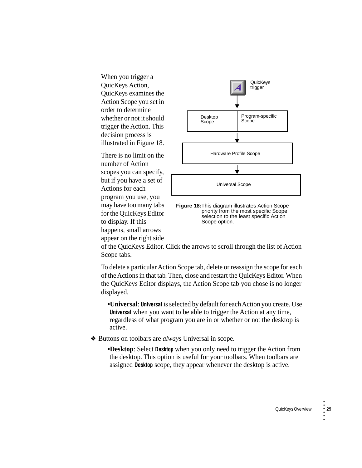When you trigger a QuicKeys Action, QuicKeys examines the Action Scope you set in order to determine whether or not it should trigger the Action. This decision process is illustrated in [Figure 18](#page-16-0).

There is no limit on the number of Action scopes you can specify, but if you have a set of Actions for each program you use, you may have too many tabs for the QuicKeys Editor to display. If this happens, small arrows appear on the right side



<span id="page-16-0"></span>**Figure 18:**This diagram illustrates Action Scope priority from the most specific Scope selection to the least specific Action Scope option.

of the QuicKeys Editor. Click the arrows to scroll through the list of Action Scope tabs.

To delete a particular Action Scope tab, delete or reassign the scope for each of the Actions in that tab. Then, close and restart the QuicKeys Editor. When the QuicKeys Editor displays, the Action Scope tab you chose is no longer displayed.

**•Universal**: **Universal** is selected by default for each Action you create. Use **Universal** when you want to be able to trigger the Action at any time, regardless of what program you are in or whether or not the desktop is active.

❖ Buttons on toolbars are *always* Universal in scope.

**•Desktop**: Select **Desktop** when you only need to trigger the Action from the desktop. This option is useful for your toolbars. When toolbars are assigned **Desktop** scope, they appear whenever the desktop is active.

•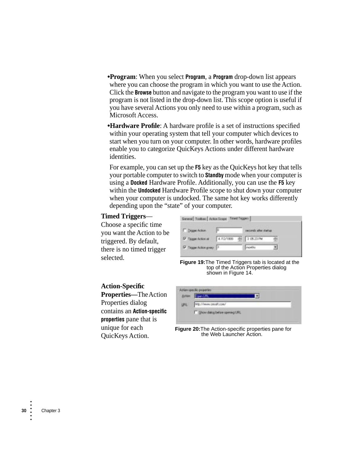**•Program**: When you select **Program**, a **Program** drop-down list appears where you can choose the program in which you want to use the Action. Click the **Browse** button and navigate to the program you want to use if the program is not listed in the drop-down list. This scope option is useful if you have several Actions you only need to use within a program, such as Microsoft Access.

**•Hardware Profile**: A hardware profile is a set of instructions specified within your operating system that tell your computer which devices to start when you turn on your computer. In other words, hardware profiles enable you to categorize QuicKeys Actions under different hardware identities.

For example, you can set up the **F5** key as the QuicKeys hot key that tells your portable computer to switch to **Standby** mode when your computer is using a **Docked** Hardware Profile. Additionally, you can use the **F5** key within the **Undocked** Hardware Profile scope to shut down your computer when your computer is undocked. The same hot key works differently depending upon the "state" of your computer.

#### **Timed Triggers**—

Choose a specific time you want the Action to be triggered. By default, there is no timed trigger selected.

| General Toobast Action Scape Timed Tagges |                      |                        |  |
|-------------------------------------------|----------------------|------------------------|--|
| Traper Action                             |                      | seconds after startup. |  |
| Tigger Action at                          | 4/12/1899 - 10523 PM |                        |  |
| Tagger Action greey                       |                      | inpollice.             |  |

**Figure 19:**The Timed Triggers tab is located at the top of the Action Properties dialog shown in [Figure 14.](#page-14-1)

#### **Action-Specific Properties—**The Action Properties dialog contains an **Action-specific properties** pane that is unique for each

QuicKeys Action.



**Figure 20:**The Action-specific properties pane for the Web Launcher Action.

• • • • • •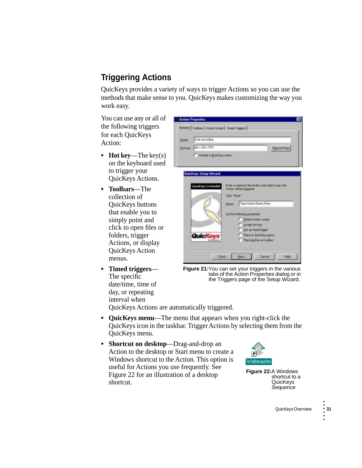## <span id="page-18-1"></span>**Triggering Actions**

QuicKeys provides a variety of ways to trigger Actions so you can use the methods that make sense to you. QuicKeys makes customizing the way you work easy.

You can use any or all of the following triggers for each QuicKeys Action:

- **Hot key—The key(s)** on the keyboard used to trigger your QuicKeys Actions.
- **• Toolbars**—The collection of QuicKeys buttons that enable you to simply point and click to open files or folders, trigger Actions, or display QuicKeys Action menus.
- **• Timed triggers** The specific date/time, time of day, or repeating interval when

| <b>Blaser</b> | Stat recording               |                                                  |  |  |
|---------------|------------------------------|--------------------------------------------------|--|--|
| Holkey.       | At + CM + F10                | <b>Open hot key</b>                              |  |  |
|               | Trabale in Quickeys menu     |                                                  |  |  |
|               |                              |                                                  |  |  |
|               |                              |                                                  |  |  |
|               |                              |                                                  |  |  |
|               | <b>QuicKeys Setup Wizard</b> |                                                  |  |  |
|               | QuinKeye Cortholler          | Ester a name for the Action and select years the |  |  |
|               |                              | Actors will be higgered.<br>Click "New"          |  |  |
|               |                              |                                                  |  |  |
|               |                              | Type Action Name Hare<br>Naws:                   |  |  |
|               |                              | Set the following properties:                    |  |  |
|               |                              | Define Action scope:<br>F Attiga hot kee         |  |  |
|               | Quici                        | Set up thred hipper<br>Place in Duickeys genu.   |  |  |
|               |                              |                                                  |  |  |

**Figure 21:**You can set your triggers in the various tabs of the Action Properties dialog or in the Triggers page of the Setup Wizard.

QuicKeys Actions are automatically triggered.

- **• QuicKeys menu**—The menu that appears when you right-click the QuicKeys icon in the taskbar. Trigger Actions by selecting them from the QuicKeys menu.
- **• Shortcut on desktop**—Drag-and-drop an Action to the desktop or Start menu to create a Windows shortcut to the Action. This option is useful for Actions you use frequently. See [Figure 22](#page-18-0) for an illustration of a desktop shortcut.

<span id="page-18-0"></span>

**Figure 22:**A Windows shortcut to a **QuicKeys Sequence** 

•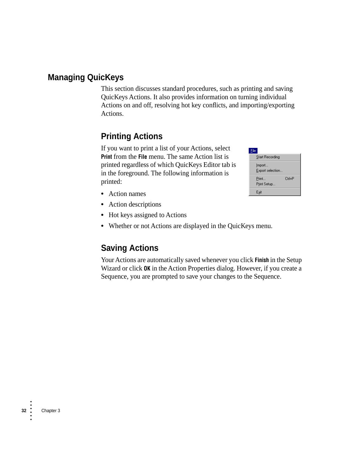## **Managing QuicKeys**

This section discusses standard procedures, such as printing and saving QuicKeys Actions. It also provides information on turning individual Actions on and off, resolving hot key conflicts, and importing/exporting Actions.

## **Printing Actions**

If you want to print a list of your Actions, select **Print** from the **File** menu. The same Action list is printed regardless of which QuicKeys Editor tab is in the foreground. The following information is printed:

| --                         |        |
|----------------------------|--------|
| Start Recording            |        |
| Import<br>Export selection |        |
| Print<br>Print Setup       | Ctrl+P |
| Exit                       |        |

- **•** Action names
- **•** Action descriptions
- Hot keys assigned to Actions
- **•** Whether or not Actions are displayed in the QuicKeys menu.

## **Saving Actions**

Your Actions are automatically saved whenever you click **Finish** in the Setup Wizard or click **OK** in the Action Properties dialog. However, if you create a Sequence, you are prompted to save your changes to the Sequence.

•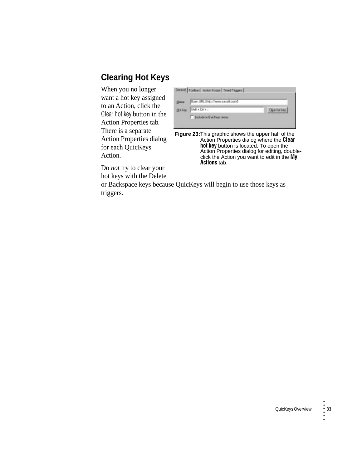## **Clearing Hot Keys**

When you no longer want a hot key assigned to an Action, click the Clear hot key button in the Action Properties tab. There is a separate Action Properties dialog for each QuicKeys Action.

| <b>Hara</b>    | Daen URL [http://www.cessit.com/] |                    |  |
|----------------|-----------------------------------|--------------------|--|
| <b>Hot key</b> | Shik . Orl                        | <b>Date hot ky</b> |  |

**Figure 23:**This graphic shows the upper half of the Action Properties dialog where the **Clear hot key** button is located. To open the Action Properties dialog for editing, doubleclick the Action you want to edit in the **My Actions** tab.

Do *not* try to clear your hot keys with the Delete

or Backspace keys because QuicKeys will begin to use those keys as triggers.

•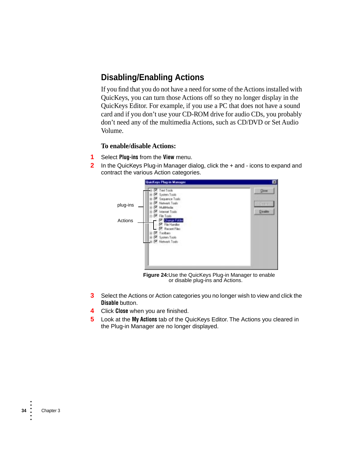## <span id="page-21-0"></span>**Disabling/Enabling Actions**

If you find that you do not have a need for some of the Actions installed with QuicKeys, you can turn those Actions off so they no longer display in the QuicKeys Editor. For example, if you use a PC that does not have a sound card and if you don't use your CD-ROM drive for audio CDs, you probably don't need any of the multimedia Actions, such as CD/DVD or Set Audio Volume.

#### **To enable/disable Actions:**

- **1** Select **Plug-ins** from the **View** menu.
- **2** In the QuicKeys Plug-in Manager dialog, click the + and icons to expand and contract the various Action categories.



**Figure 24:**Use the QuicKeys Plug-in Manager to enable or disable plug-ins and Actions.

- **3** Select the Actions or Action categories you no longer wish to view and click the **Disable** button.
- **4** Click **Close** when you are finished.
- **5** Look at the **My Actions** tab of the QuicKeys Editor. The Actions you cleared in the Plug-in Manager are no longer displayed.

• •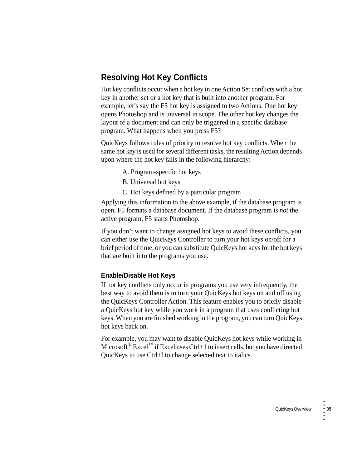## **Resolving Hot Key Conflicts**

Hot key conflicts occur when a hot key in one Action Set conflicts with a hot key in another set or a hot key that is built into another program. For example, let's say the F5 hot key is assigned to two Actions. One hot key opens Photoshop and is universal in scope. The other hot key changes the layout of a document and can only be triggered in a specific database program. What happens when you press F5?

QuicKeys follows rules of priority to resolve hot key conflicts. When the same hot key is used for several different tasks, the resulting Action depends upon where the hot key falls in the following hierarchy:

- A. Program-specific hot keys
- B. Universal hot keys
- C. Hot keys defined by a particular program

Applying this information to the above example, if the database program is open, F5 formats a database document. If the database program is *not* the active program, F5 starts Photoshop.

If you don't want to change assigned hot keys to avoid these conflicts, you can either use the QuicKeys Controller to turn your hot keys on/off for a brief period of time, or you can substitute QuicKeys hot keys for the hot keys that are built into the programs you use.

#### **Enable/Disable Hot Keys**

If hot key conflicts only occur in programs you use very infrequently, the best way to avoid them is to turn your QuicKeys hot keys on and off using the QuicKeys Controller Action. This feature enables you to briefly disable a QuicKeys hot key while you work in a program that uses conflicting hot keys. When you are finished working in the program, you can turn QuicKeys hot keys back on.

For example, you may want to disable QuicKeys hot keys while working in Microsoft<sup>®</sup> Excel<sup>™</sup> if Excel uses Ctrl+1 to insert cells, but you have directed QuicKeys to use Ctrl+l to change selected text to italics.

•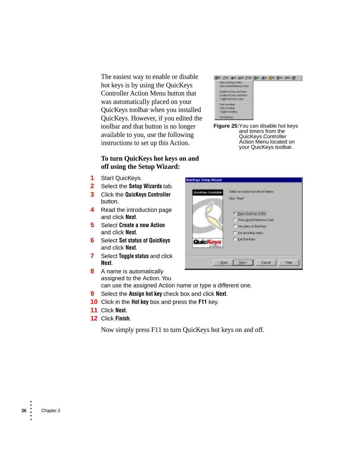The easiest way to enable or disable hot keys is by using the QuicKeys Controller Action Menu button that was automatically placed on your QuicKeys toolbar when you installed QuicKeys. However, if you edited the toolbar and that button is no longer available to you, use the following instructions to set up this Action.

#### **To turn QuicKeys hot keys on and off using the Setup Wizard:**

- **1** Start QuicKeys.
- **2** Select the **Setup Wizards** tab.
- **3** Click the **QuicKeys Controller** button.
- **4** Read the introduction page and click **Next**.
- **5** Select **Create a new Action** and click **Next**.
- **6** Select **Set status of QuicKeys**  and click **Next**.
- **7** Select **Toggle status** and click **Next**.
- **8** A name is automatically assigned to the Action. You can use the assigned Action name or type a different one.
- **9** Select the **Assign hot key** check box and click **Next**.
- **10** Click in the **Hot key** box and press the **F11** key.
- **11** Click **Next**.
- **12** Click **Finish**.

Now simply press F11 to turn QuicKeys hot keys on and off.



**Figure 25:**You can disable hot keys and timers from the QuicKeys Controller Action Menu located on your QuicKeys toolbar.

| QuinKeys Controller | <b>Click 'Next'</b>        |
|---------------------|----------------------------|
|                     | Of Client Guickeys Editor  |
|                     | C Show QuickReference Card |
|                     | C Set status of Quickeys   |
|                     | C Set recording status     |
| <b>QuicKeys</b>     | C Ext Quickays             |

• •

• • •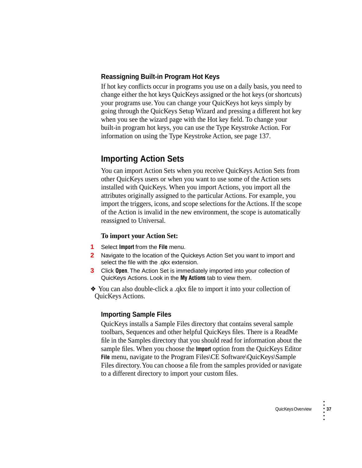### **Reassigning Built-in Program Hot Keys**

If hot key conflicts occur in programs you use on a daily basis, you need to change either the hot keys QuicKeys assigned or the hot keys (or shortcuts) your programs use. You can change your QuicKeys hot keys simply by going through the QuicKeys Setup Wizard and pressing a different hot key when you see the wizard page with the Hot key field. To change your built-in program hot keys, you can use the Type Keystroke Action. For information on using the Type Keystroke Action, see page 137.

## **Importing Action Sets**

You can import Action Sets when you receive QuicKeys Action Sets from other QuicKeys users or when you want to use some of the Action sets installed with QuicKeys. When you import Actions, you import all the attributes originally assigned to the particular Actions. For example, you import the triggers, icons, and scope selections for the Actions. If the scope of the Action is invalid in the new environment, the scope is automatically reassigned to Universal.

#### **To import your Action Set:**

- **1** Select **Import** from the **File** menu.
- **2** Navigate to the location of the Quickeys Action Set you want to import and select the file with the .qkx extension.
- **3** Click **Open**. The Action Set is immediately imported into your collection of QuicKeys Actions. Look in the **My Actions** tab to view them.
- ❖ You can also double-click a .qkx file to import it into your collection of QuicKeys Actions.

#### **Importing Sample Files**

QuicKeys installs a Sample Files directory that contains several sample toolbars, Sequences and other helpful QuicKeys files. There is a ReadMe file in the Samples directory that you should read for information about the sample files. When you choose the **Import** option from the QuicKeys Editor File menu, navigate to the Program Files\CE Software\QuicKeys\Sample Files directory. You can choose a file from the samples provided or navigate to a different directory to import your custom files.

•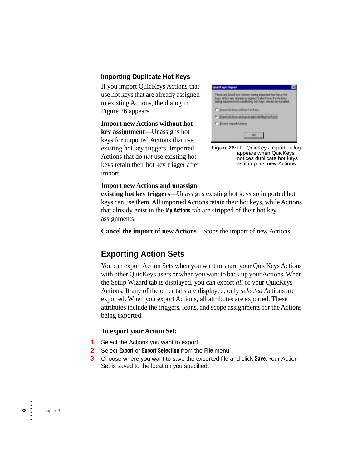### **Importing Duplicate Hot Keys**

If you import QuicKeys Actions that use hot keys that are already assigned to existing Actions, the dialog in [Figure 26](#page-25-0) appears.

**Import new Actions without hot key assignment**—Unassigns hot keys for imported Actions that use existing hot key triggers. Imported Actions that do *not* use existing hot keys retain their hot key trigger after import.

<span id="page-25-0"></span>

**Figure 26:**The QuicKeys Import dialog appears when QuicKeys notices duplicate hot keys as it imports new Actions.

#### **Import new Actions and unassign**

**existing hot key triggers**—Unassigns existing hot keys so imported hot keys can use them. All imported Actions retain their hot keys, while Actions that already exist in the **My Actions** tab are stripped of their hot key assignments.

**Cancel the import of new Actions**—Stops the import of new Actions.

## **Exporting Action Sets**

You can export Action Sets when you want to share your QuicKeys Actions with other QuicKeys users or when you want to back up your Actions. When the Setup Wizard tab is displayed, you can export *all* of your QuicKeys Actions. If any of the other tabs are displayed, only *selected* Actions are exported. When you export Actions, all attributes are exported. These attributes include the triggers, icons, and scope assignments for the Actions being exported.

#### **To export your Action Set:**

- **1** Select the Actions you want to export.
- **2** Select **Export** or **Export Selection** from the **File** menu.
- **3** Choose where you want to save the exported file and click **Save**. Your Action Set is saved to the location you specified.

• •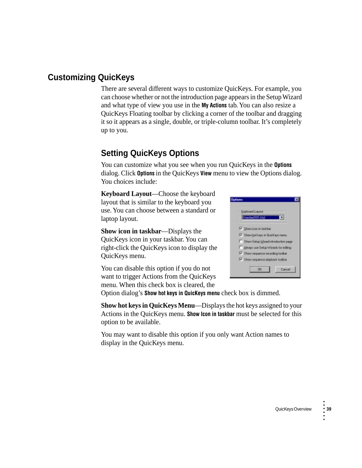## **Customizing QuicKeys**

There are several different ways to customize QuicKeys. For example, you can choose whether or not the introduction page appears in the Setup Wizard and what type of view you use in the **My Actions** tab. You can also resize a QuicKeys Floating toolbar by clicking a corner of the toolbar and dragging it so it appears as a single, double, or triple-column toolbar. It's completely up to you.

## **Setting QuicKeys Options**

<span id="page-26-0"></span>You can customize what you see when you run QuicKeys in the **Options**  dialog. Click **Options** in the QuicKeys **View** menu to view the Options dialog. You choices include:

**Keyboard Layout**—Choose the keyboard layout that is similar to the keyboard you use. You can choose between a standard or laptop layout.

**Show icon in taskbar**—Displays the QuicKeys icon in your taskbar. You can right-click the QuicKeys icon to display the QuicKeys menu.

You can disable this option if you do not want to trigger Actions from the QuicKeys menu. When this check box is cleared, the



Option dialog's **Show hot keys in QuicKeys menu** check box is dimmed.

**Show hot keys in QuicKeys Menu**—Displays the hot keys assigned to your Actions in the QuicKeys menu. **Show Icon in taskbar** must be selected for this option to be available.

You may want to disable this option if you only want Action names to display in the QuicKeys menu.

•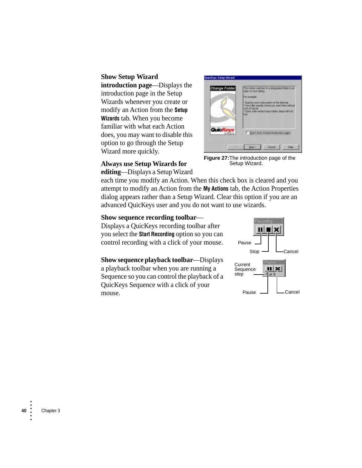<span id="page-27-0"></span>**Show Setup Wizard introduction page**—Displays the introduction page in the Setup Wizards whenever you create or modify an Action from the **Setup Wizards** tab. When you become familiar with what each Action does, you may want to disable this option to go through the Setup Wizard more quickly.



**Figure 27:**The introduction page of the Setup Wizard.

### **Always use Setup Wizards for**

**editing**—Displays a Setup Wizard

each time you modify an Action. When this check box is cleared and you attempt to modify an Action from the **My Actions** tab, the Action Properties dialog appears rather than a Setup Wizard. Clear this option if you are an advanced QuicKeys user and you do not want to use wizards.

#### **Show sequence recording toolbar**—

Displays a QuicKeys recording toolbar after you select the **Start Recording** option so you can control recording with a click of your mouse.

**Show sequence playback toolbar**—Displays a playback toolbar when you are running a Sequence so you can control the playback of a QuicKeys Sequence with a click of your mouse.



Pause  $\Box$   $\Box$  Cancel

• • • • •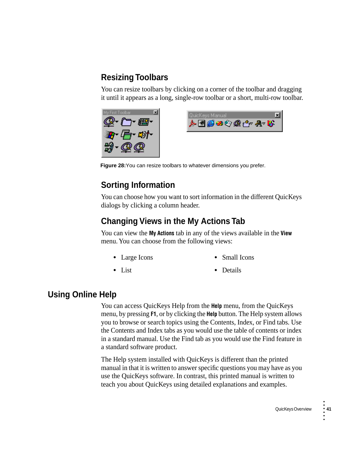## **Resizing Toolbars**

You can resize toolbars by clicking on a corner of the toolbar and dragging it until it appears as a long, single-row toolbar or a short, multi-row toolbar.





**Figure 28:**You can resize toolbars to whatever dimensions you prefer.

## **Sorting Information**

You can choose how you want to sort information in the different QuicKeys dialogs by clicking a column header.

## **Changing Views in the My Actions Tab**

You can view the **My Actions** tab in any of the views available in the **View** menu. You can choose from the following views:

- **•** Large Icons **•** Small Icons
- 
- **•** List **•** Details

### **Using Online Help**

You can access QuicKeys Help from the **Help** menu, from the QuicKeys menu, by pressing **F1**, or by clicking the **Help** button. The Help system allows you to browse or search topics using the Contents, Index, or Find tabs. Use the Contents and Index tabs as you would use the table of contents or index in a standard manual. Use the Find tab as you would use the Find feature in a standard software product.

The Help system installed with QuicKeys is different than the printed manual in that it is written to answer specific questions you may have as you use the QuicKeys software. In contrast, this printed manual is written to teach you about QuicKeys using detailed explanations and examples.

•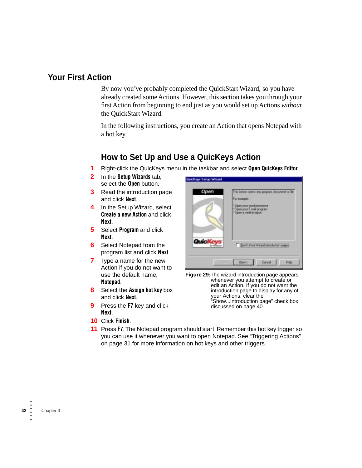### **Your First Action**

By now you've probably completed the QuickStart Wizard, so you have already created some Actions. However, this section takes you through your first Action from beginning to end just as you would set up Actions *without* the QuickStart Wizard.

In the following instructions, you create an Action that opens Notepad with a hot key.

### **How to Set Up and Use a QuicKeys Action**

**1** Right-click the QuicKeys menu in the taskbar and select **Open QuicKeys Editor**.

**QuicKeys Setup Wizard** 

- **2** In the **Setup Wizards** tab, select the **Open** button.
- **3** Read the introduction page and click **Next**.
- **4** In the Setup Wizard, select **Create a new Action** and click **Next**.
- **5** Select **Program** and click **Next**.
- **6** Select Notepad from the program list and click **Next**.
- **7** Type a name for the new Action if you do not want to use the default name, **Notepad**.
- **8** Select the **Assign hot key** box and click **Next**.
- **9** Press the **F7** key and click **Next**.
- **10** Click **Finish**.

Open This Auton opens are program, document or file. For answering 10 pers your word processes " Open your Elevel program<br>" Open a week to report Quic K Don't show Wined introduction pages Ned 3 Cancel Heb

**Figure 29:**The wizard introduction page appears whenever you attempt to create or edit an Action. If you do not want the introduction page to display for any of your Actions, clear the "Show...introduction page" check box discussed on [page 40](#page-27-0).

**11** Press **F7**. The Notepad program should start. Remember this hot key trigger so you can use it whenever you want to open Notepad. See ["Triggering Actions"](#page-18-1)  [on page 31](#page-18-1) for more information on hot keys and other triggers.

• •

• • •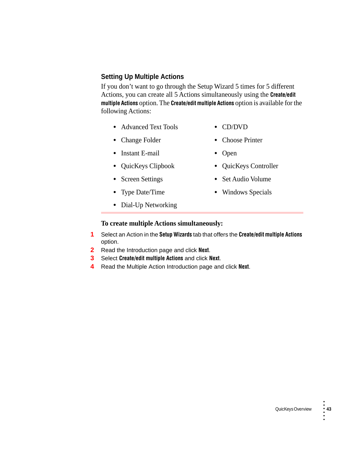### **Setting Up Multiple Actions**

If you don't want to go through the Setup Wizard 5 times for 5 different Actions, you can create all 5 Actions simultaneously using the **Create/edit multiple Actions** option. The **Create/edit multiple Actions** option is available for the following Actions:

- **•** Advanced Text Tools **•** CD/DVD
	-
- Change Folder **•** Choose Printer
- **•** Instant E-mail **•** Open
- 
- 
- 
- **•** Dial-Up Networking
- 
- 
- **•** QuicKeys Clipbook **•** QuicKeys Controller
- **•** Screen Settings **•** Set Audio Volume
- **•** Type Date/Time **•** Windows Specials

### **To create multiple Actions simultaneously:**

- **1** Select an Action in the **Setup Wizards** tab that offers the **Create/edit multiple Actions** option.
- **2** Read the Introduction page and click **Next**.
- **3** Select **Create/edit multiple Actions** and click **Next**.
- **4** Read the Multiple Action Introduction page and click **Next**.

•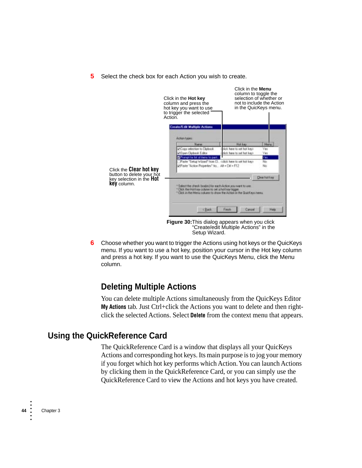**5** Select the check box for each Action you wish to create.



**6** Choose whether you want to trigger the Actions using hot keys or the QuicKeys menu. If you want to use a hot key, position your cursor in the Hot key column and press a hot key. If you want to use the QuicKeys Menu, click the Menu column.

### **Deleting Multiple Actions**

You can delete multiple Actions simultaneously from the QuicKeys Editor **My Actions** tab. Just Ctrl+click the Actions you want to delete and then rightclick the selected Actions. Select **Delete** from the context menu that appears.

### **Using the QuickReference Card**

The QuickReference Card is a window that displays all your QuicKeys Actions and corresponding hot keys. Its main purpose is to jog your memory if you forget which hot key performs which Action. You can launch Actions by clicking them in the QuickReference Card, or you can simply use the QuickReference Card to view the Actions and hot keys you have created.

• • • • • •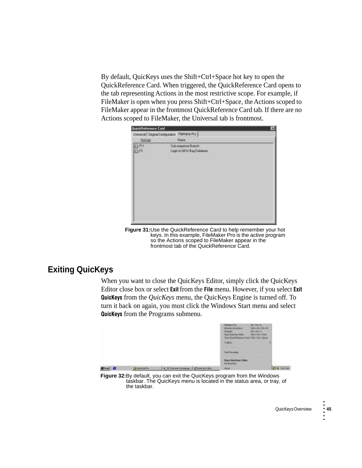By default, QuicKeys uses the Shift+Ctrl+Space hot key to open the QuickReference Card. When triggered, the QuickReference Card opens to the tab representing Actions in the most restrictive scope. For example, if FileMaker is open when you press Shift+Ctrl+Space, the Actions scoped to FileMaker appear in the frontmost QuickReference Card tab. If there are no Actions scoped to FileMaker, the Universal tab is frontmost.

| QuickReference Card |                                                   |  |
|---------------------|---------------------------------------------------|--|
|                     | Unversal Diginal Configuration Flightsker Pro     |  |
| Hot key             | Nave.                                             |  |
| $\frac{6m}{6n}$     | Sub-requerior Branch<br>Legin to GRW Bug Detabase |  |
|                     |                                                   |  |

**Figure 31:**Use the QuickReference Card to help remember your hot keys. In this example, FileMaker Pro is the active program so the Actions scoped to FileMaker appear in the frontmost tab of the QuickReference Card.

## **Exiting QuicKeys**

When you want to close the QuicKeys Editor, simply click the QuicKeys Editor close box or select **Exit** from the **File** menu. However, if you select **Exit QuicKeys** from the *QuicKeys* menu, the QuicKeys Engine is turned off. To turn it back on again, you must click the Windows Start menu and select **QuicKeys** from the Programs submenu.



**Figure 32:**By default, you can exit the QuicKeys program from the Windows taskbar. The QuicKeys menu is located in the status area, or tray, of the taskbar.

•